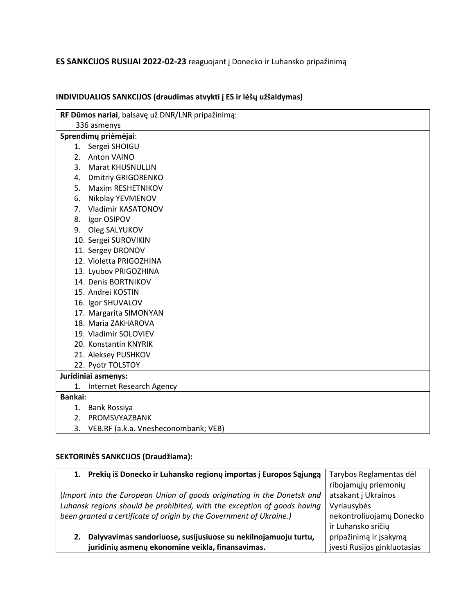## **ES SANKCIJOS RUSIJAI 2022-02-23** reaguojant į Donecko ir Luhansko pripažinimą

| RF Dūmos nariai, balsavę už DNR/LNR pripažinimą: |  |  |
|--------------------------------------------------|--|--|
| 336 asmenys                                      |  |  |
| Sprendimų priėmėjai:                             |  |  |
| Sergei SHOIGU<br>1.                              |  |  |
| Anton VAINO<br>2.                                |  |  |
| 3.<br><b>Marat KHUSNULLIN</b>                    |  |  |
| <b>Dmitriy GRIGORENKO</b><br>4.                  |  |  |
| Maxim RESHETNIKOV<br>5.                          |  |  |
| Nikolay YEVMENOV<br>6.                           |  |  |
| Vladimir KASATONOV<br>7.                         |  |  |
| Igor OSIPOV<br>8.                                |  |  |
| Oleg SALYUKOV<br>9.                              |  |  |
| 10. Sergei SUROVIKIN                             |  |  |
| 11. Sergey DRONOV                                |  |  |
| 12. Violetta PRIGOZHINA                          |  |  |
| 13. Lyubov PRIGOZHINA                            |  |  |
| 14. Denis BORTNIKOV                              |  |  |
| 15. Andrei KOSTIN                                |  |  |
| 16. Igor SHUVALOV                                |  |  |
| 17. Margarita SIMONYAN                           |  |  |
| 18. Maria ZAKHAROVA                              |  |  |
| 19. Vladimir SOLOVIEV                            |  |  |
| 20. Konstantin KNYRIK                            |  |  |
| 21. Aleksey PUSHKOV                              |  |  |
| 22. Pyotr TOLSTOY                                |  |  |
| Juridiniai asmenys:                              |  |  |
| Internet Research Agency<br>1.                   |  |  |
| <b>Bankai:</b>                                   |  |  |
| 1. Bank Rossiya                                  |  |  |
| PROMSVYAZBANK<br>2.                              |  |  |
| 3.<br>VEB.RF (a.k.a. Vnesheconombank; VEB)       |  |  |

## **INDIVIDUALIOS SANKCIJOS (draudimas atvykti į ES ir lėšų užšaldymas)**

## **SEKTORINĖS SANKCIJOS (Draudžiama):**

| 1. Prekių iš Donecko ir Luhansko regionų importas į Europos Sąjungą      | Tarybos Reglamentas dėl      |
|--------------------------------------------------------------------------|------------------------------|
|                                                                          | ribojamųjų priemonių         |
| (Import into the European Union of goods originating in the Donetsk and  | atsakant j Ukrainos          |
| Luhansk regions should be prohibited, with the exception of goods having | Vyriausybės                  |
| been granted a certificate of origin by the Government of Ukraine.)      | nekontroliuojamų Donecko     |
|                                                                          | ir Luhansko sričių           |
| Dalyvavimas sandoriuose, susijusiuose su nekilnojamuoju turtu,<br>2.     | pripažinimą ir įsakymą       |
| juridinių asmenų ekonomine veikla, finansavimas.                         | jvesti Rusijos ginkluotasias |